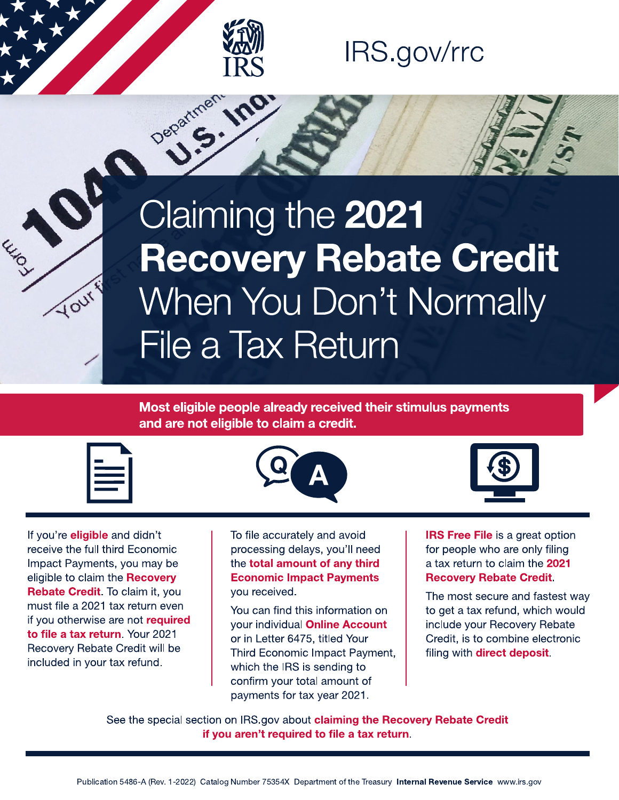

**S. Ino** 

Department.

### IRS.gov/rrc

# Claiming the 2021 Recovery Rebate Credit When You Don't Normally File a Tax Return

#### Most eligible people already received their stimulus payments and are not eligible to claim a credit.





If you're **eligible** and didn't receive the full third Economic Impact Payments, you may be eligible to claim the Recovery **Rebate Credit.** To claim it, you must file a 2021 tax return even if you otherwise are not required to file a tax return. Your 2021 Recovery Rebate Credit will be included in your tax refund.

To file accurately and avoid processing delays, you'll need the total amount of any third **Economic Impact Payments** you received.

You can find this information on your individual Online Account or in Letter 6475, titled Your Third Economic Impact Payment, which the IRS is sending to confirm your total amount of payments for tax year 2021.

**IRS Free File** is a great option for people who are only filing a tax return to claim the 2021 **Recovery Rebate Credit.** 

The most secure and fastest way to get a tax refund, which would include your Recovery Rebate Credit, is to combine electronic filing with direct deposit.

See the special section on IRS.gov about claiming the Recovery Rebate Credit if you aren't required to file a tax return.